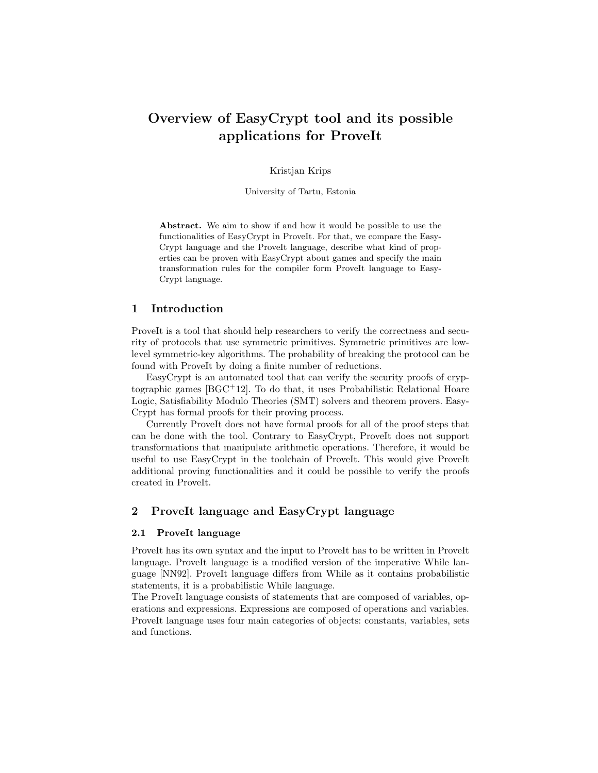# Overview of EasyCrypt tool and its possible applications for ProveIt

Kristjan Krips

University of Tartu, Estonia

Abstract. We aim to show if and how it would be possible to use the functionalities of EasyCrypt in ProveIt. For that, we compare the Easy-Crypt language and the ProveIt language, describe what kind of properties can be proven with EasyCrypt about games and specify the main transformation rules for the compiler form ProveIt language to Easy-Crypt language.

### 1 Introduction

ProveIt is a tool that should help researchers to verify the correctness and security of protocols that use symmetric primitives. Symmetric primitives are lowlevel symmetric-key algorithms. The probability of breaking the protocol can be found with ProveIt by doing a finite number of reductions.

EasyCrypt is an automated tool that can verify the security proofs of cryptographic games [BGC+12]. To do that, it uses Probabilistic Relational Hoare Logic, Satisfiability Modulo Theories (SMT) solvers and theorem provers. Easy-Crypt has formal proofs for their proving process.

Currently ProveIt does not have formal proofs for all of the proof steps that can be done with the tool. Contrary to EasyCrypt, ProveIt does not support transformations that manipulate arithmetic operations. Therefore, it would be useful to use EasyCrypt in the toolchain of ProveIt. This would give ProveIt additional proving functionalities and it could be possible to verify the proofs created in ProveIt.

# 2 ProveIt language and EasyCrypt language

#### 2.1 ProveIt language

ProveIt has its own syntax and the input to ProveIt has to be written in ProveIt language. ProveIt language is a modified version of the imperative While language [NN92]. ProveIt language differs from While as it contains probabilistic statements, it is a probabilistic While language.

The ProveIt language consists of statements that are composed of variables, operations and expressions. Expressions are composed of operations and variables. ProveIt language uses four main categories of objects: constants, variables, sets and functions.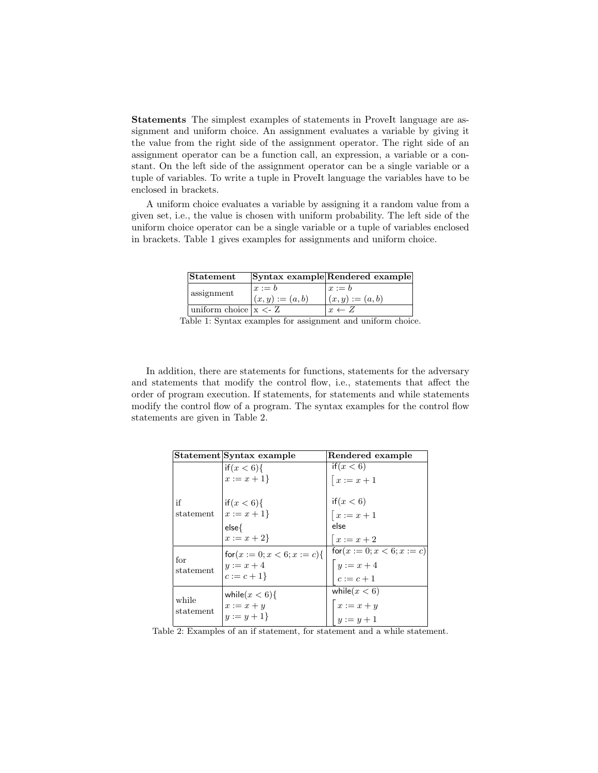Statements The simplest examples of statements in ProveIt language are assignment and uniform choice. An assignment evaluates a variable by giving it the value from the right side of the assignment operator. The right side of an assignment operator can be a function call, an expression, a variable or a constant. On the left side of the assignment operator can be a single variable or a tuple of variables. To write a tuple in ProveIt language the variables have to be enclosed in brackets.

A uniform choice evaluates a variable by assigning it a random value from a given set, i.e., the value is chosen with uniform probability. The left side of the uniform choice operator can be a single variable or a tuple of variables enclosed in brackets. Table 1 gives examples for assignments and uniform choice.

| Statement              |                                | Syntax example Rendered example |
|------------------------|--------------------------------|---------------------------------|
| assignment             | $x := b$<br>$(x, y) := (a, b)$ | $x := b$<br>$(x, y) := (a, b)$  |
| uniform choice $x < Z$ |                                | $x \leftarrow Z$                |

Table 1: Syntax examples for assignment and uniform choice.

In addition, there are statements for functions, statements for the adversary and statements that modify the control flow, i.e., statements that affect the order of program execution. If statements, for statements and while statements modify the control flow of a program. The syntax examples for the control flow statements are given in Table 2.

|           | Statement Syntax example            | Rendered example                                       |
|-----------|-------------------------------------|--------------------------------------------------------|
|           | if(x < 6)                           | if(x < 6)                                              |
|           | $x := x + 1$                        | $\bigl[x:=x+1\bigr]$                                   |
| if        | if $(x < 6)$ {                      | if(x < 6)                                              |
| statement | $x := x + 1$                        | $\bigl[x:=x+1\bigr]$                                   |
|           | $else{$                             | else                                                   |
|           | $x := x + 2$                        | $x:=x+2$                                               |
| for       | $\text{for}(x := 0; x < 6; x := c)$ | $\text{for}(x := 0; x < 6; x := c)$                    |
| statement | $y := x + 4$                        |                                                        |
|           | $c := c + 1$                        | $\begin{cases} y := x + 4 \\ c := c + 1 \end{cases}$   |
| while     | while $(x < 6)$                     | while $(x < 6)$                                        |
| statement | $x := x + y$                        |                                                        |
|           | $y := y + 1$                        | $\begin{cases}\nx := x + y \\ y := y + 1\n\end{cases}$ |

Table 2: Examples of an if statement, for statement and a while statement.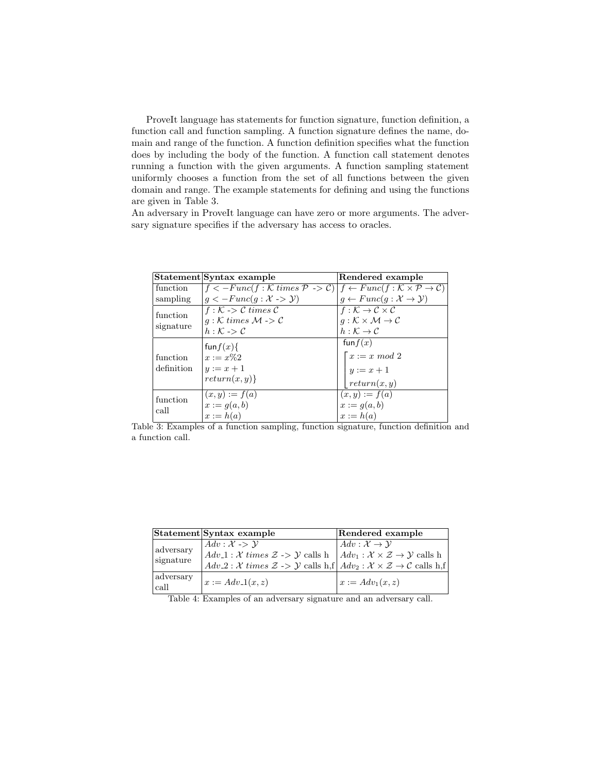ProveIt language has statements for function signature, function definition, a function call and function sampling. A function signature defines the name, domain and range of the function. A function definition specifies what the function does by including the body of the function. A function call statement denotes running a function with the given arguments. A function sampling statement uniformly chooses a function from the set of all functions between the given domain and range. The example statements for defining and using the functions are given in Table 3.

An adversary in ProveIt language can have zero or more arguments. The adversary signature specifies if the adversary has access to oracles.

|                  | Statement Syntax example                                                                                                                                   | Rendered example                                             |
|------------------|------------------------------------------------------------------------------------------------------------------------------------------------------------|--------------------------------------------------------------|
| function         | $f \leq -Func(f : \mathcal{K} \times \mathcal{P} \Rightarrow \mathcal{C})   f \leftarrow Func(f : \mathcal{K} \times \mathcal{P} \rightarrow \mathcal{C})$ |                                                              |
| sampling         | $g \leq -Func(g: \mathcal{X} \rightarrow \mathcal{Y})$                                                                                                     | $g \leftarrow Func(g : \mathcal{X} \rightarrow \mathcal{Y})$ |
| function         | $f : \mathcal{K} \rightarrow \mathcal{C} \ times \ \mathcal{C}$                                                                                            | $f: \mathcal{K} \to \mathcal{C} \times \mathcal{C}$          |
|                  | $q:K \times K \times M \rightarrow C$                                                                                                                      | $q:K\times\mathcal{M}\rightarrow\mathcal{C}$                 |
| signature        | $h:\mathcal{K}\rightarrow\mathcal{C}$                                                                                                                      | $h:\mathcal{K}\to\mathcal{C}$                                |
|                  | fun $f(x)$                                                                                                                                                 | fun $f(x)$                                                   |
| function         | $x := x\%2$                                                                                                                                                | $\lceil x := x \mod 2 \rceil$                                |
| definition       | $y:=x+1$                                                                                                                                                   | $y := x + 1$                                                 |
|                  | return(x, y)                                                                                                                                               | return(x, y)                                                 |
| function<br>call | $(x, y) := f(a)$                                                                                                                                           | $(x, y) := f(a)$                                             |
|                  | $x := g(a, b)$                                                                                                                                             | $x := g(a, b)$                                               |
|                  | $x := h(a)$                                                                                                                                                | $x := h(a)$                                                  |

Table 3: Examples of a function sampling, function signature, function definition and a function call.

|                                | Statement Syntax example                                                                                                                                                                                                                                                                                                                                       | Rendered example                           |
|--------------------------------|----------------------------------------------------------------------------------------------------------------------------------------------------------------------------------------------------------------------------------------------------------------------------------------------------------------------------------------------------------------|--------------------------------------------|
| adversary<br>signature         | $Adv: \mathcal{X} \rightarrow \mathcal{Y}$<br>$Adv_1 : \mathcal{X} \times \mathcal{Z} \rightarrow \mathcal{Y}$ calls h $Adv_1 : \mathcal{X} \times \mathcal{Z} \rightarrow \mathcal{Y}$ calls h<br>$Adv_2 : \mathcal{X} \times \mathcal{X} \longrightarrow \mathcal{Y}$ calls h, f $Adv_2 : \mathcal{X} \times \mathcal{Z} \rightarrow \mathcal{C}$ calls h, f | $Adv: \mathcal{X} \rightarrow \mathcal{Y}$ |
| <sub>i</sub> adversary<br>call | $x := Adv_1(x, z)$                                                                                                                                                                                                                                                                                                                                             | $x := Adv_1(x, z)$                         |

Table 4: Examples of an adversary signature and an adversary call.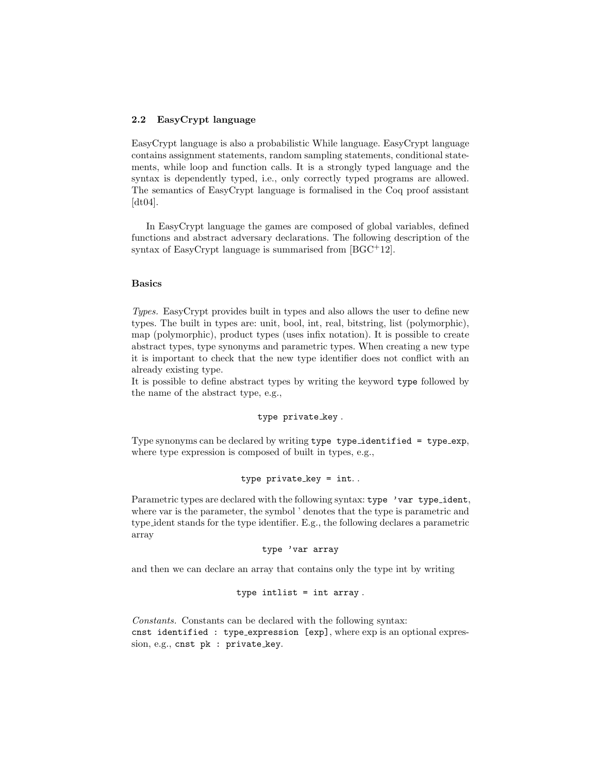### 2.2 EasyCrypt language

EasyCrypt language is also a probabilistic While language. EasyCrypt language contains assignment statements, random sampling statements, conditional statements, while loop and function calls. It is a strongly typed language and the syntax is dependently typed, i.e., only correctly typed programs are allowed. The semantics of EasyCrypt language is formalised in the Coq proof assistant [dt04].

In EasyCrypt language the games are composed of global variables, defined functions and abstract adversary declarations. The following description of the syntax of EasyCrypt language is summarised from  $[BGC^+12]$ .

### Basics

Types. EasyCrypt provides built in types and also allows the user to define new types. The built in types are: unit, bool, int, real, bitstring, list (polymorphic), map (polymorphic), product types (uses infix notation). It is possible to create abstract types, type synonyms and parametric types. When creating a new type it is important to check that the new type identifier does not conflict with an already existing type.

It is possible to define abstract types by writing the keyword type followed by the name of the abstract type, e.g.,

type private\_key.

Type synonyms can be declared by writing type type identified = type exp, where type expression is composed of built in types, e.g.,

```
type private\_key = int..
```
Parametric types are declared with the following syntax: type 'var type\_ident, where var is the parameter, the symbol ' denotes that the type is parametric and type ident stands for the type identifier. E.g., the following declares a parametric array

```
type 'var array
```
and then we can declare an array that contains only the type int by writing

```
type intlist = int array .
```
Constants. Constants can be declared with the following syntax: cnst identified : type expression [exp], where exp is an optional expression, e.g., cnst pk : private\_key.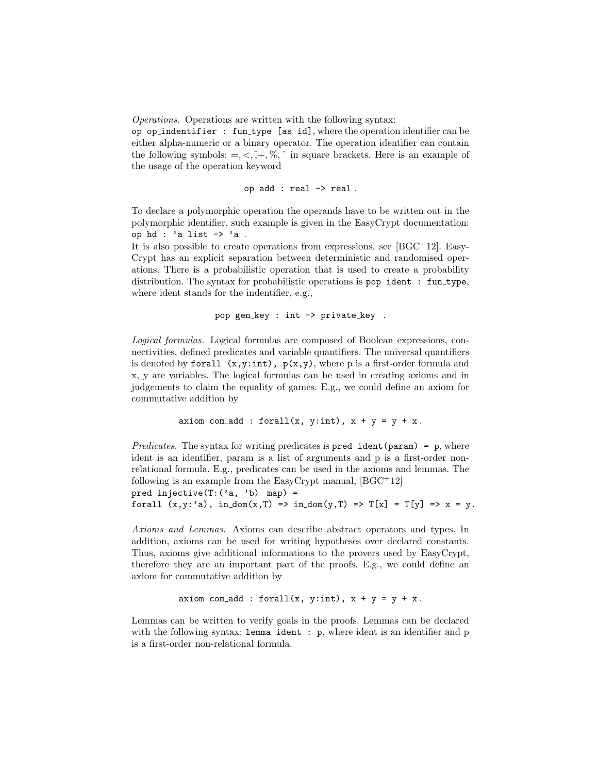Operations. Operations are written with the following syntax:

op op indentifier : fun type [as id], where the operation identifier can be either alpha-numeric or a binary operator. The operation identifier can contain the following symbols:  $=, <, \tilde{=}$ ,  $\%$ ,  $\tilde{ }$  in square brackets. Here is an example of the usage of the operation keyword

op add : real -> real .

To declare a polymorphic operation the operands have to be written out in the polymorphic identifier, such example is given in the EasyCrypt documentation: op hd : 'a list  $\rightarrow$  'a.

It is also possible to create operations from expressions, see  $[BGC^+12]$ . Easy-Crypt has an explicit separation between deterministic and randomised operations. There is a probabilistic operation that is used to create a probability distribution. The syntax for probabilistic operations is pop ident : fun\_type, where ident stands for the indentifier, e.g.,

```
pop gen key : int -> private key .
```
Logical formulas. Logical formulas are composed of Boolean expressions, connectivities, defined predicates and variable quantifiers. The universal quantifiers is denoted by forall  $(x,y:int)$ ,  $p(x,y)$ , where p is a first-order formula and x, y are variables. The logical formulas can be used in creating axioms and in judgements to claim the equality of games. E.g., we could define an axiom for commutative addition by

```
axiom com_add : forall(x, y:int), x + y = y + x.
```
Predicates. The syntax for writing predicates is  $pred$  ident(param) = p, where ident is an identifier, param is a list of arguments and p is a first-order nonrelational formula. E.g., predicates can be used in the axioms and lemmas. The following is an example from the EasyCrypt manual,  $[BGC^+12]$ 

pred injective $(T: ('a, 'b)$  map) = forall  $(x,y: a)$ , in  $dom(x,T) \implies in\_dom(y,T) \implies T[x] = T[y] \implies x = y$ .

Axioms and Lemmas. Axioms can describe abstract operators and types. In addition, axioms can be used for writing hypotheses over declared constants. Thus, axioms give additional informations to the provers used by EasyCrypt, therefore they are an important part of the proofs. E.g., we could define an axiom for commutative addition by

```
axiom com add : forall(x, y:int), x + y = y + x.
```
Lemmas can be written to verify goals in the proofs. Lemmas can be declared with the following syntax: lemma ident : p, where ident is an identifier and p is a first-order non-relational formula.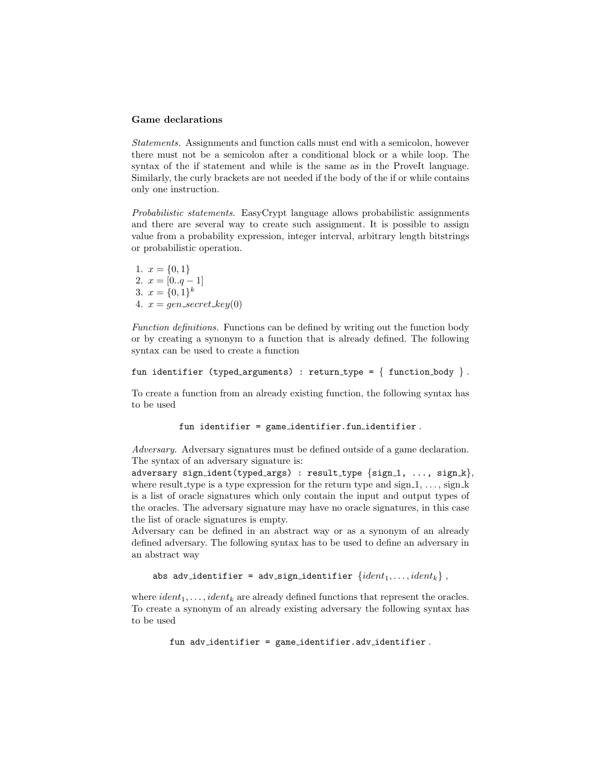#### Game declarations

Statements. Assignments and function calls must end with a semicolon, however there must not be a semicolon after a conditional block or a while loop. The syntax of the if statement and while is the same as in the ProveIt language. Similarly, the curly brackets are not needed if the body of the if or while contains only one instruction.

Probabilistic statements. EasyCrypt language allows probabilistic assignments and there are several way to create such assignment. It is possible to assign value from a probability expression, integer interval, arbitrary length bitstrings or probabilistic operation.

1.  $x = \{0, 1\}$ 2.  $x = [0..q-1]$ 3.  $x = \{0,1\}^k$ 4.  $x = gen\_secret\_key(0)$ 

Function definitions. Functions can be defined by writing out the function body or by creating a synonym to a function that is already defined. The following syntax can be used to create a function

```
fun identifier (typed_arguments) : return_type = \{ function_body \}.
```
To create a function from an already existing function, the following syntax has to be used

```
fun identifier = game identifier.fun identifier .
```
Adversary. Adversary signatures must be defined outside of a game declaration. The syntax of an adversary signature is:

adversary sign\_ident(typed\_args) : result\_type  $\{sign_1, \ldots, sign_k\},\$ where result type is a type expression for the return type and sign  $1, \ldots$ , sign k is a list of oracle signatures which only contain the input and output types of the oracles. The adversary signature may have no oracle signatures, in this case the list of oracle signatures is empty.

Adversary can be defined in an abstract way or as a synonym of an already defined adversary. The following syntax has to be used to define an adversary in an abstract way

```
abs adv_identifier = adv_sign_identifier \{ident_1, \ldots, ident_k\},
```
where  $ident_1, \ldots, ident_k$  are already defined functions that represent the oracles. To create a synonym of an already existing adversary the following syntax has to be used

fun adv identifier = game identifier.adv identifier .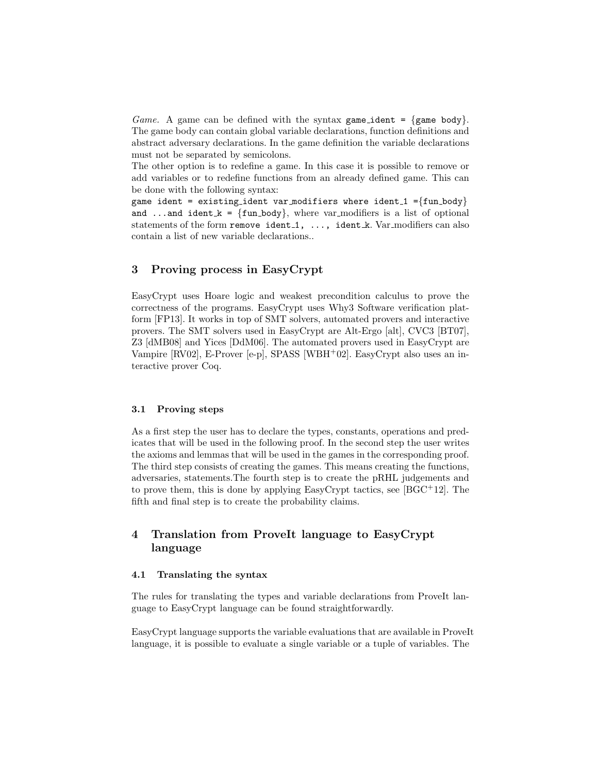*Game.* A game can be defined with the syntax game ident =  $\{ \text{game body} \}.$ The game body can contain global variable declarations, function definitions and abstract adversary declarations. In the game definition the variable declarations must not be separated by semicolons.

The other option is to redefine a game. In this case it is possible to remove or add variables or to redefine functions from an already defined game. This can be done with the following syntax:

game ident = existing\_ident var\_modifiers where ident\_1 = $\{fun\_body\}$ and ...and ident  $k = \{fun-body\}$ , where var modifiers is a list of optional statements of the form remove ident<sub>1</sub>, ..., ident<sub>k</sub>. Var<sub>-modifiers can also</sub> contain a list of new variable declarations..

# 3 Proving process in EasyCrypt

EasyCrypt uses Hoare logic and weakest precondition calculus to prove the correctness of the programs. EasyCrypt uses Why3 Software verification platform [FP13]. It works in top of SMT solvers, automated provers and interactive provers. The SMT solvers used in EasyCrypt are Alt-Ergo [alt], CVC3 [BT07], Z3 [dMB08] and Yices [DdM06]. The automated provers used in EasyCrypt are Vampire [RV02], E-Prover [e-p], SPASS [WBH<sup>+</sup>02]. EasyCrypt also uses an interactive prover Coq.

### 3.1 Proving steps

As a first step the user has to declare the types, constants, operations and predicates that will be used in the following proof. In the second step the user writes the axioms and lemmas that will be used in the games in the corresponding proof. The third step consists of creating the games. This means creating the functions, adversaries, statements.The fourth step is to create the pRHL judgements and to prove them, this is done by applying EasyCrypt tactics, see [BGC+12]. The fifth and final step is to create the probability claims.

# 4 Translation from ProveIt language to EasyCrypt language

### 4.1 Translating the syntax

The rules for translating the types and variable declarations from ProveIt language to EasyCrypt language can be found straightforwardly.

EasyCrypt language supports the variable evaluations that are available in ProveIt language, it is possible to evaluate a single variable or a tuple of variables. The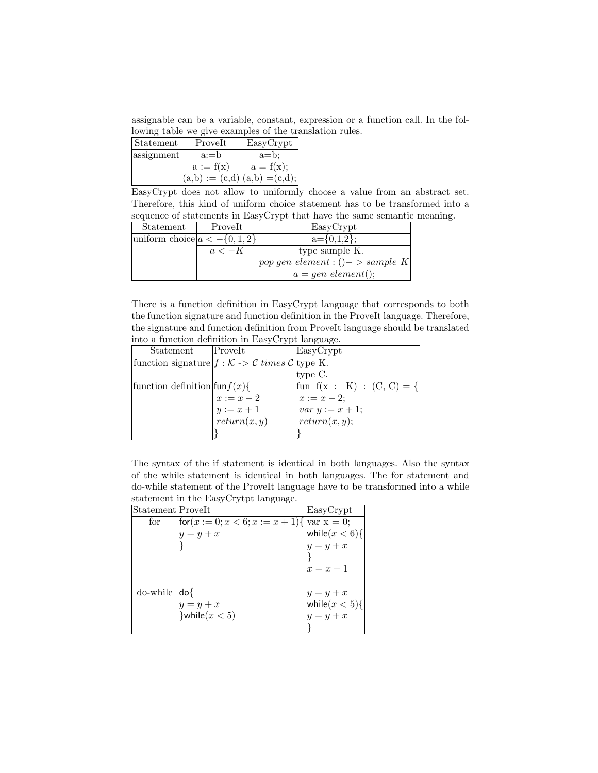assignable can be a variable, constant, expression or a function call. In the following table we give examples of the translation rules.

| Statement  | Prove <sub>It</sub>              | EasyCrypt   |
|------------|----------------------------------|-------------|
| assignment | $a:=b$                           | $a = b$     |
|            | $a := f(x)$                      | $a = f(x);$ |
|            | $ (a,b) := (c,d) (a,b) = (c,d);$ |             |

EasyCrypt does not allow to uniformly choose a value from an abstract set. Therefore, this kind of uniform choice statement has to be transformed into a sequence of statements in EasyCrypt that have the same semantic meaning.

| Statement                           | Prove <sub>It</sub> | EasyCrypt                           |
|-------------------------------------|---------------------|-------------------------------------|
| uniform choice $ a < -\{0, 1, 2\} $ |                     | $a = \{0,1,2\};$                    |
|                                     | $a < -K$            | type sample <sub>K</sub> .          |
|                                     |                     | $ pop\;gen\_element:()->sample\_K $ |
|                                     |                     | $a = gen\_element();$               |

There is a function definition in EasyCrypt language that corresponds to both the function signature and function definition in the ProveIt language. Therefore, the signature and function definition from ProveIt language should be translated into a function definition in EasyCrypt language.

| Statement                           | ProveIt                                                 | EasyCrypt                                          |
|-------------------------------------|---------------------------------------------------------|----------------------------------------------------|
|                                     | function signature $f: K \rightarrow C$ times C type K. |                                                    |
|                                     |                                                         | type C.                                            |
| function definition $\text{fun}(x)$ |                                                         | $\left \text{fun } f(x : K) : (C, C) = \{ \right $ |
|                                     | $x:=x-2$                                                | $x := x - 2;$<br>var $y := x + 1;$                 |
|                                     | $y := x + 1$<br>return $(x, y)$                         |                                                    |
|                                     |                                                         | return(x, y);                                      |
|                                     |                                                         |                                                    |

The syntax of the if statement is identical in both languages. Also the syntax of the while statement is identical in both languages. The for statement and do-while statement of the ProveIt language have to be transformed into a while statement in the EasyCrytpt language.

| Statement ProveIt |                                                | EasyCrypt         |
|-------------------|------------------------------------------------|-------------------|
| for               | $ for(x := 0; x < 6; x := x + 1)   var x = 0;$ |                   |
|                   | $y = y + x$                                    | while $(x < 6)$ { |
|                   |                                                | $y = y + x$       |
|                   |                                                |                   |
|                   |                                                | $x=x+1$           |
|                   |                                                |                   |
| do-while          | do{                                            | $y = y + x$       |
|                   | $y = y + x$                                    | while $(x < 5)$ { |
|                   | }while $(x < 5)$                               | $y = y + x$       |
|                   |                                                |                   |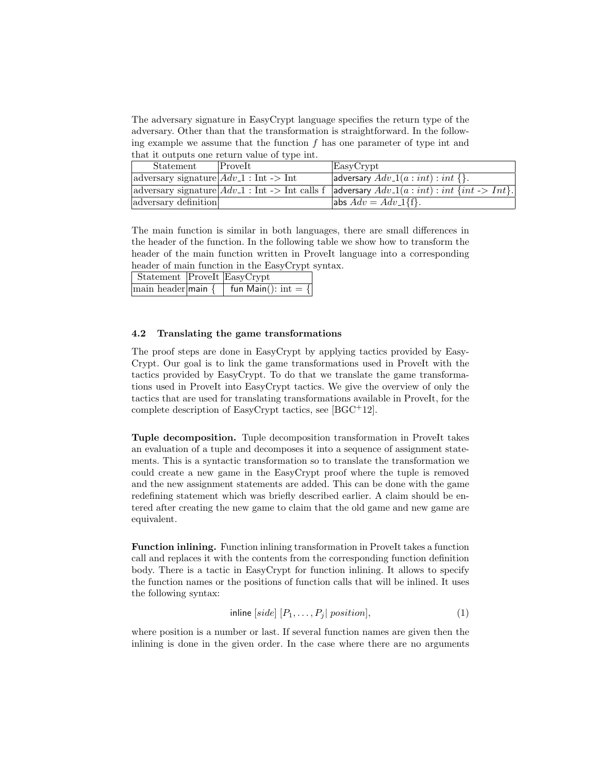The adversary signature in EasyCrypt language specifies the return type of the adversary. Other than that the transformation is straightforward. In the following example we assume that the function  $f$  has one parameter of type int and that it outputs one return value of type int.

| Statement                                                          | ProveIt | EasyCrypt                                                                                                                                |
|--------------------------------------------------------------------|---------|------------------------------------------------------------------------------------------------------------------------------------------|
| $ adversary$ signature $ Adv_1: \text{Int} \rightarrow \text{Int}$ |         | adversary $Adv_1(a:int):int \$ .                                                                                                         |
|                                                                    |         | adversary signature $ Adv_1: \text{Int} \rightarrow \text{Int} \text{ calls } f$ adversary $Adv_1(a: int): int \{int \rightarrow Int\}.$ |
| adversary definition                                               |         | $\{\text{abs} Adv = Adv_1\{f\}.$                                                                                                         |

The main function is similar in both languages, there are small differences in the header of the function. In the following table we show how to transform the header of the main function written in ProveIt language into a corresponding header of main function in the EasyCrypt syntax.

| Statement ProveIt EasyCrypt |                                                                         |
|-----------------------------|-------------------------------------------------------------------------|
|                             | main header main $\{ \ \mid \ \text{fun Main}() : \text{int} = \{ \ \}$ |

### 4.2 Translating the game transformations

The proof steps are done in EasyCrypt by applying tactics provided by Easy-Crypt. Our goal is to link the game transformations used in ProveIt with the tactics provided by EasyCrypt. To do that we translate the game transformations used in ProveIt into EasyCrypt tactics. We give the overview of only the tactics that are used for translating transformations available in ProveIt, for the complete description of EasyCrypt tactics, see [BGC+12].

Tuple decomposition. Tuple decomposition transformation in ProveIt takes an evaluation of a tuple and decomposes it into a sequence of assignment statements. This is a syntactic transformation so to translate the transformation we could create a new game in the EasyCrypt proof where the tuple is removed and the new assignment statements are added. This can be done with the game redefining statement which was briefly described earlier. A claim should be entered after creating the new game to claim that the old game and new game are equivalent.

Function inlining. Function inlining transformation in ProveIt takes a function call and replaces it with the contents from the corresponding function definition body. There is a tactic in EasyCrypt for function inlining. It allows to specify the function names or the positions of function calls that will be inlined. It uses the following syntax:

$$
inline [side] [P_1, \ldots, P_j] position], \tag{1}
$$

where position is a number or last. If several function names are given then the inlining is done in the given order. In the case where there are no arguments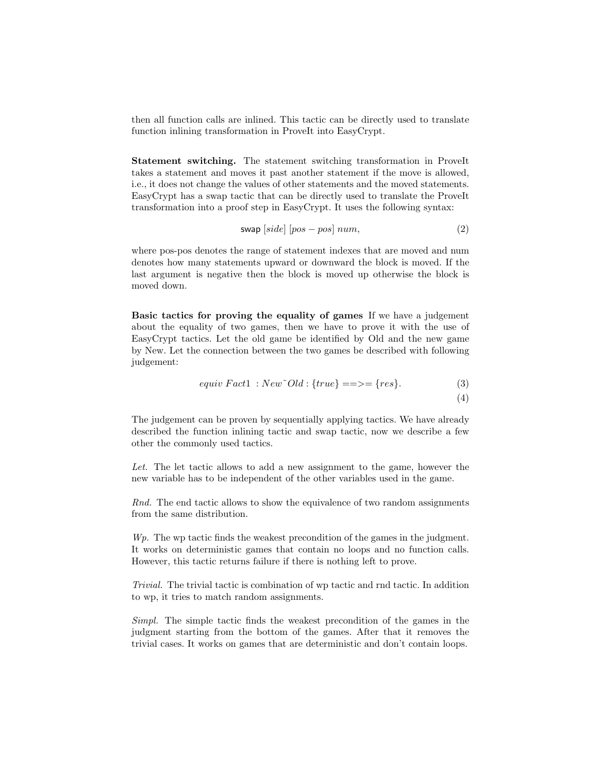then all function calls are inlined. This tactic can be directly used to translate function inlining transformation in ProveIt into EasyCrypt.

Statement switching. The statement switching transformation in ProveIt takes a statement and moves it past another statement if the move is allowed, i.e., it does not change the values of other statements and the moved statements. EasyCrypt has a swap tactic that can be directly used to translate the ProveIt transformation into a proof step in EasyCrypt. It uses the following syntax:

$$
swap \left[ side \right] \left[ pos - pos \right] num,\tag{2}
$$

where pos-pos denotes the range of statement indexes that are moved and num denotes how many statements upward or downward the block is moved. If the last argument is negative then the block is moved up otherwise the block is moved down.

Basic tactics for proving the equality of games If we have a judgement about the equality of two games, then we have to prove it with the use of EasyCrypt tactics. Let the old game be identified by Old and the new game by New. Let the connection between the two games be described with following judgement:

$$
equiv Factor1 : New^{\sim}Old : \{true\} == \gt; = \{res\}.
$$
\n<sup>(3)</sup>\n<sup>(4)</sup>

The judgement can be proven by sequentially applying tactics. We have already described the function inlining tactic and swap tactic, now we describe a few other the commonly used tactics.

Let. The let tactic allows to add a new assignment to the game, however the new variable has to be independent of the other variables used in the game.

Rnd. The end tactic allows to show the equivalence of two random assignments from the same distribution.

W<sub>p</sub>. The wp tactic finds the weakest precondition of the games in the judgment. It works on deterministic games that contain no loops and no function calls. However, this tactic returns failure if there is nothing left to prove.

Trivial. The trivial tactic is combination of wp tactic and rnd tactic. In addition to wp, it tries to match random assignments.

Simpl. The simple tactic finds the weakest precondition of the games in the judgment starting from the bottom of the games. After that it removes the trivial cases. It works on games that are deterministic and don't contain loops.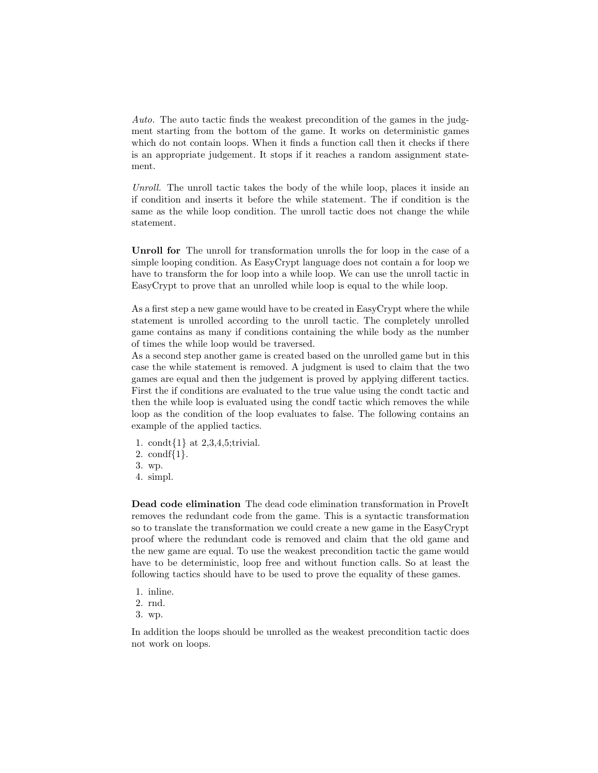Auto. The auto tactic finds the weakest precondition of the games in the judgment starting from the bottom of the game. It works on deterministic games which do not contain loops. When it finds a function call then it checks if there is an appropriate judgement. It stops if it reaches a random assignment statement.

Unroll. The unroll tactic takes the body of the while loop, places it inside an if condition and inserts it before the while statement. The if condition is the same as the while loop condition. The unroll tactic does not change the while statement.

Unroll for The unroll for transformation unrolls the for loop in the case of a simple looping condition. As EasyCrypt language does not contain a for loop we have to transform the for loop into a while loop. We can use the unroll tactic in EasyCrypt to prove that an unrolled while loop is equal to the while loop.

As a first step a new game would have to be created in EasyCrypt where the while statement is unrolled according to the unroll tactic. The completely unrolled game contains as many if conditions containing the while body as the number of times the while loop would be traversed.

As a second step another game is created based on the unrolled game but in this case the while statement is removed. A judgment is used to claim that the two games are equal and then the judgement is proved by applying different tactics. First the if conditions are evaluated to the true value using the condt tactic and then the while loop is evaluated using the condf tactic which removes the while loop as the condition of the loop evaluates to false. The following contains an example of the applied tactics.

- 1. condt{1} at 2,3,4,5;trivial.
- 2. condf{1}.
- 3. wp.
- 4. simpl.

Dead code elimination The dead code elimination transformation in ProveIt removes the redundant code from the game. This is a syntactic transformation so to translate the transformation we could create a new game in the EasyCrypt proof where the redundant code is removed and claim that the old game and the new game are equal. To use the weakest precondition tactic the game would have to be deterministic, loop free and without function calls. So at least the following tactics should have to be used to prove the equality of these games.

- 1. inline.
- 2. rnd.
- 3. wp.

In addition the loops should be unrolled as the weakest precondition tactic does not work on loops.